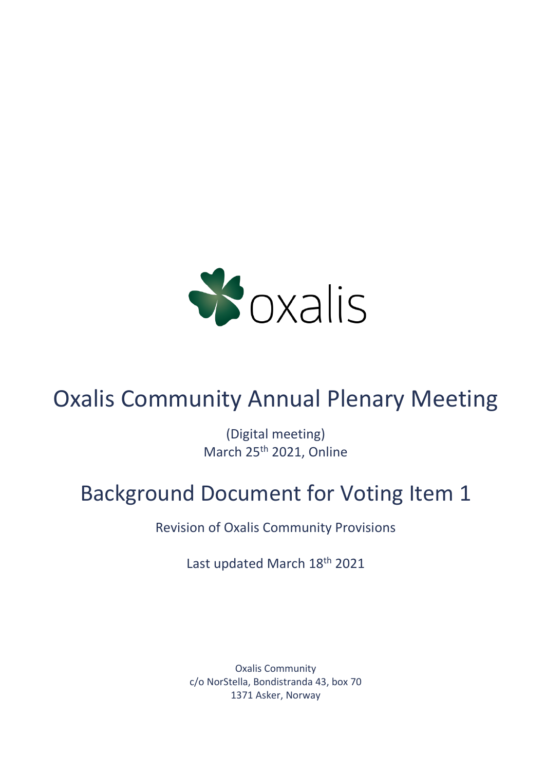

# Oxalis Community Annual Plenary Meeting

(Digital meeting) March 25th 2021, Online

## Background Document for Voting Item 1

Revision of Oxalis Community Provisions

Last updated March 18th 2021

Oxalis Community c/o NorStella, Bondistranda 43, box 70 1371 Asker, Norway